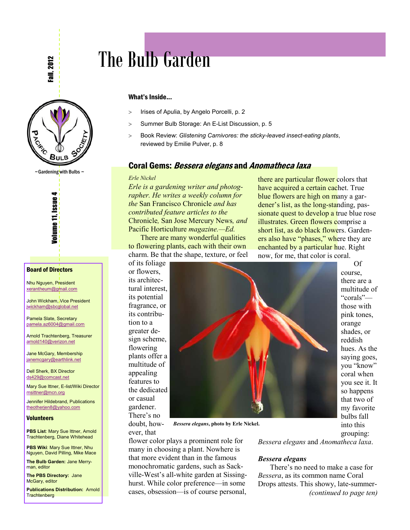all, 2012



 $\sim$  Gardening with Bulbs  $\sim$ 



#### Board of Directors

Nhu Nguyen, President [xerantheum@gmail.com](mailto:xerantheum@gmail.com)

John Wickham, Vice President [jwickham@sbcglobal.net](mailto:jwickham@sbcglobal.net)

Pamela Slate, Secretary [pamela.az6004@gmail.com](mailto:Pamela.az6004@gmail.com)

Arnold Trachtenberg, Treasurer [arnold140@verizon.net](mailto:arnold140@verizon.net)

Jane McGary, Membership [janemcgary@earthlink.net](mailto:janemcgary@earthlink.net)

Dell Sherk, BX Director [ds429@comcast.net](mailto:ds429@comcast.net)

Mary Sue Ittner, E-list/Wiki Director [msittner@mcn.org](mailto:msittner@mcn.org)

Jennifer Hildebrand, Publications [theotherjen8@yahoo.com](mailto:theotherjen8@yahoo.com)

#### Volunteers

**PBS List: Mary Sue Ittner, Arnold** Trachtenberg, Diane Whitehead

**PBS Wiki: Mary Sue Ittner, Nhu** Nguyen, David Pilling, Mike Mace

**The Bulb Garden:** Jane Merryman, editor

**The PBS Directory:** Jane McGary, editor

**Publications Distribution:** Arnold **Trachtenberg** 

## The Bulb Garden

#### What's Inside...

- > Irises of Apulia, by Angelo Porcelli, p. 2
- > Summer Bulb Storage: An E-List Discussion, p. 5
- ! Book Review: *Glistening Carnivores: the sticky-leaved insect-eating plants*, reviewed by Emilie Pulver, p. 8

#### **Coral Gems: Bessera elegans and Anomatheca laxa**

#### *Erle Nickel*

*Erle is a gardening writer and photographer. He writes a weekly column for the* San Francisco Chronicle *and has contributed feature articles to the*  Chronicle*,* San Jose Mercury News*, and*  Pacific Horticulture *magazine.—Ed.*

There are many wonderful qualities to flowering plants, each with their own charm. Be that the shape, texture, or feel of its foliage

there are particular flower colors that have acquired a certain cachet. True blue flowers are high on many a gardener's list, as the long-standing, passionate quest to develop a true blue rose illustrates. Green flowers comprise a short list, as do black flowers. Gardeners also have "phases," where they are enchanted by a particular hue. Right now, for me, that color is coral. Of

or flowers, its architectural interest, its potential fragrance, or its contribution to a greater design scheme, flowering plants offer a multitude of appealing features to the dedicated or casual gardener. There's no



doubt, however, that *Bessera elegans***, photo by Erle Nickel.**

flower color plays a prominent role for many in choosing a plant. Nowhere is that more evident than in the famous monochromatic gardens, such as Sackville-West's all-white garden at Sissinghurst. While color preference—in some cases, obsession—is of course personal, course, there are a multitude of "corals" those with pink tones, orange shades, or reddish hues. As the saying goes, you "know" coral when you see it. It so happens that two of my favorite bulbs fall into this grouping:

*Bessera elegans* and *Anomatheca laxa*.

#### *Bessera elegans*

There's no need to make a case for *Bessera*, as its common name Coral Drops attests. This showy, late-summer- *(continued to page ten)*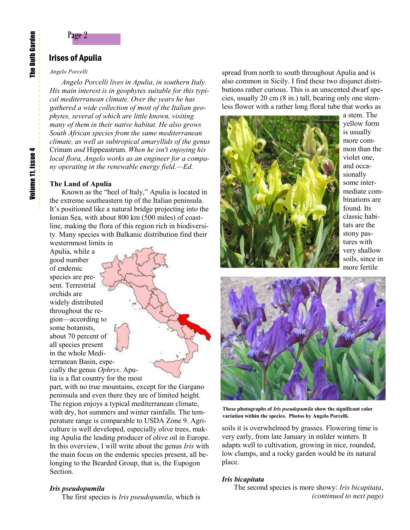#### Irises of Apulia

#### *Angelo Porcelli*

*Angelo Porcelli lives in Apulia, in southern Italy. His main interest is in geophytes suitable for this typical mediterranean climate. Over the years he has gathered a wide collection of most of the Italian geophytes, several of which are little known, visiting many of them in their native habitat. He also grows South African species from the same mediterranean climate, as well as subtropical amaryllids of the genus*  Crinum *and* Hippeastrum*. When he isn't enjoying his local flora, Angelo works as an engineer for a company operating in the renewable energy field.—Ed.*

#### **The Land of Apulia**

Known as the "heel of Italy," Apulia is located in the extreme southeastern tip of the Italian peninsula. It's positioned like a natural bridge projecting into the Ionian Sea, with about 800 km (500 miles) of coastline, making the flora of this region rich in biodiversity. Many species with Balkanic distribution find their westernmost limits in

Apulia, while a good number of endemic species are present. Terrestrial orchids are widely distributed throughout the region—according to some botanists, about 70 percent of all species present in the whole Mediterranean Basin, especially the genus *Ophrys*. Apulia is a flat country for the most

part, with no true mountains, except for the Gargano peninsula and even there they are of limited height. The region enjoys a typical mediterranean climate, with dry, hot summers and winter rainfalls. The temperature range is comparable to USDA Zone 9. Agriculture is well developed, especially olive trees, making Apulia the leading producer of olive oil in Europe. In this overview, I will write about the genus *Iris* with the main focus on the endemic species present, all belonging to the Bearded Group, that is, the Eupogon Section.

#### *Iris pseudopumila*

The first species is *Iris pseudopumila*, which is

spread from north to south throughout Apulia and is also common in Sicily. I find these two disjunct distributions rather curious. This is an unscented dwarf species, usually 20 cm (8 in.) tall, bearing only one stemless flower with a rather long floral tube that works as



a stem. The yellow form is usually more common than the violet one, and occasionally some intermediate combinations are found. Its classic habitats are the stony pastures with very shallow soils, since in more fertile



**These photographs of** *Iris pseudopumila* **show the significant color variation within the species. Photos by Angelo Porcelli.**

soils it is overwhelmed by grasses. Flowering time is very early, from late January in milder winters. It adapts well to cultivation, growing in nice, rounded, low clumps, and a rocky garden would be its natural place.

#### *Iris bicapitata*

The second species is more showy: *Iris bicapitata*, *(continued to next page)*

The Bulb Garden

The Bulb Garden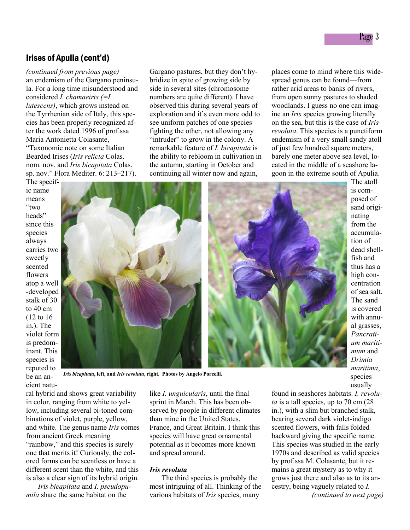#### Irises of Apulia (cont'd)

*(continued from previous page)* an endemism of the Gargano peninsula. For a long time misunderstood and considered *I. chamaeiris (=I. lutescens)*, which grows instead on the Tyrrhenian side of Italy, this species has been properly recognized after the work dated 1996 of prof.ssa Maria Antonietta Colasante, "Taxonomic note on some Italian Bearded Irises (*Iris relicta* Colas. nom. nov. and *Iris bicapitata* Colas. sp. nov." Flora Mediter. 6: 213–217).

The specific name

Gargano pastures, but they don't hybridize in spite of growing side by side in several sites (chromosome numbers are quite different). I have observed this during several years of exploration and it's even more odd to see uniform patches of one species fighting the other, not allowing any "intruder" to grow in the colony. A remarkable feature of *I. bicapitata* is the ability to rebloom in cultivation in the autumn, starting in October and continuing all winter now and again,

places come to mind where this widespread genus can be found—from rather arid areas to banks of rivers, from open sunny pastures to shaded woodlands. I guess no one can imagine an *Iris* species growing literally on the sea, but this is the case of *Iris revoluta*. This species is a punctiform endemism of a very small sandy atoll of just few hundred square meters, barely one meter above sea level, located in the middle of a seashore lagoon in the extreme south of Apulia.

means "two heads" since this species always carries two sweetly scented flowers atop a well -developed stalk of 30 to 40 cm (12 to 16 in.). The violet form is predominant. This species is reputed to be an ancient natu-



The atoll is composed of sand originating from the accumulation of dead shellfish and thus has a high concentration of sea salt. The sand is covered with annual grasses, *Pancratium maritimum* and *Drimia maritima*, species usually

ral hybrid and shows great variability in color, ranging from white to yellow, including several bi-toned combinations of violet, purple, yellow, and white. The genus name *Iris* comes from ancient Greek meaning "rainbow," and this species is surely one that merits it! Curiously, the colored forms can be scentless or have a different scent than the white, and this is also a clear sign of its hybrid origin*.* 

*Iris bicapitata* and *I. pseudopumila* share the same habitat on the

like *I. unguicularis*, until the final sprint in March. This has been observed by people in different climates than mine in the United States, France, and Great Britain. I think this species will have great ornamental potential as it becomes more known and spread around.

#### *Iris revoluta*

The third species is probably the most intriguing of all. Thinking of the various habitats of *Iris* species, many

found in seashores habitats. *I. revoluta* is a tall species, up to 70 cm (28 in.), with a slim but branched stalk, bearing several dark violet-indigo scented flowers, with falls folded backward giving the specific name. This species was studied in the early 1970s and described as valid species by prof.ssa M. Colasante, but it remains a great mystery as to why it grows just there and also as to its ancestry, being vaguely related to *I. (continued to next page)*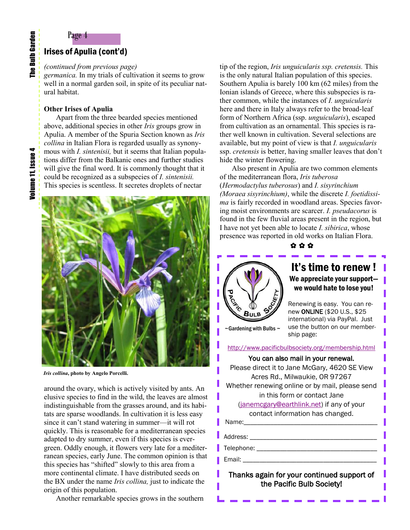### Page 4

#### Irises of Apulia (cont'd)

#### *(continued from previous page)*

*germanica.* In my trials of cultivation it seems to grow well in a normal garden soil, in spite of its peculiar natural habitat.

#### **Other Irises of Apulia**

Apart from the three bearded species mentioned above, additional species in other *Iris* groups grow in Apulia. A member of the Spuria Section known as *Iris collina* in Italian Flora is regarded usually as synonymous with *I. sintenisii,* but it seems that Italian populations differ from the Balkanic ones and further studies will give the final word. It is commonly thought that it could be recognized as a subspecies of *I. sintenisii.* This species is scentless. It secretes droplets of nectar



*Iris collina***, photo by Angelo Porcelli.**

around the ovary, which is actively visited by ants. An elusive species to find in the wild, the leaves are almost indistinguishable from the grasses around, and its habitats are sparse woodlands. In cultivation it is less easy since it can't stand watering in summer—it will rot quickly. This is reasonable for a mediterranean species adapted to dry summer, even if this species is evergreen. Oddly enough, it flowers very late for a mediterranean species, early June. The common opinion is that this species has "shifted" slowly to this area from a more continental climate. I have distributed seeds on the BX under the name *Iris collina,* just to indicate the origin of this population.

Another remarkable species grows in the southern

tip of the region, *Iris unguicularis ssp. cretensis.* This is the only natural Italian population of this species. Southern Apulia is barely 100 km (62 miles) from the Ionian islands of Greece, where this subspecies is rather common, while the instances of *I. unguicularis* here and there in Italy always refer to the broad-leaf form of Northern Africa (ssp. *unguicularis*), escaped from cultivation as an ornamental. This species is rather well known in cultivation. Several selections are available, but my point of view is that *I. unguicularis*  ssp. *cretensis* is better, having smaller leaves that don't hide the winter flowering.

Also present in Apulia are two common elements of the mediterranean flora, *Iris tuberosa* (*Hermodactylus tuberosus*) and *I. sisyrinchium (Moraea sisyrinchium)*, while the discrete *I. foetidissima* is fairly recorded in woodland areas. Species favoring moist environments are scarcer. *I. pseudacorus* is found in the few fluvial areas present in the region, but I have not yet been able to locate *I. sibirica*, whose presence was reported in old works on Italian Flora.

✿ ✿ ✿



#### It's time to renew ! We appreciate your support we would hate to lose you!

Renewing is easy. You can renew ONLINE (\$20 U.S., \$25 international) via PayPal. Just use the button on our membership page:

 $\sim$ Gardening with Bulbs  $\sim$ 

<http://www.pacificbulbsociety.org/membership.html>

#### You can also mail in your renewal.

Please direct it to Jane McGary, 4620 SE View Acres Rd., Milwaukie, OR 97267 Whether renewing online or by mail, please send in this form or contact Jane [\(janemcgary@earthlink.net\)](mailto:janemcgary@earthlink.net) if any of your contact information has changed. Name: Address: \_\_\_\_\_\_\_\_\_\_\_\_\_\_\_\_\_\_\_\_\_\_\_\_\_\_\_\_\_\_\_\_\_\_\_\_\_\_

Telephone: \_\_\_\_\_\_\_\_\_\_\_\_\_\_\_\_\_\_\_\_\_\_\_\_\_\_\_\_\_\_\_\_\_\_\_\_

Email: \_\_\_\_\_\_\_\_\_\_\_\_\_\_\_\_\_\_\_\_\_\_\_\_\_\_\_\_\_\_\_\_\_\_\_\_\_\_\_\_

Thanks again for your continued support of the Pacific Bulb Society!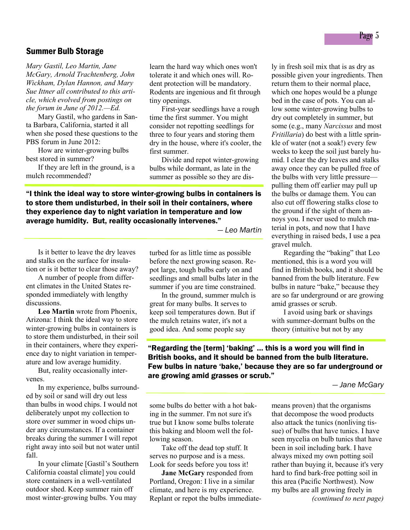#### Summer Bulb Storage

*Mary Gastil, Leo Martin, Jane McGary, Arnold Trachtenberg, John Wickham, Dylan Hannon, and Mary Sue Ittner all contributed to this article, which evolved from postings on the forum in June of 2012.—Ed.*

Mary Gastil, who gardens in Santa Barbara, California, started it all when she posed these questions to the PBS forum in June 2012:

How are winter-growing bulbs best stored in summer?

If they are left in the ground, is a mulch recommended?

learn the hard way which ones won't tolerate it and which ones will. Rodent protection will be mandatory. Rodents are ingenious and fit through tiny openings.

First-year seedlings have a rough time the first summer. You might consider not repotting seedlings for three to four years and storing them dry in the house, where it's cooler, the first summer.

Divide and repot winter-growing bulbs while dormant, as late in the summer as possible so they are dis-

"I think the ideal way to store winter-growing bulbs in containers is to store them undisturbed, in their soil in their containers, where they experience day to night variation in temperature and low average humidity. But, reality occasionally intervenes."

*— Leo Martin* 

Is it better to leave the dry leaves and stalks on the surface for insulation or is it better to clear those away?

A number of people from different climates in the United States responded immediately with lengthy discussions.

**Leo Martin** wrote from Phoenix, Arizona: I think the ideal way to store winter-growing bulbs in containers is to store them undisturbed, in their soil in their containers, where they experience day to night variation in temperature and low average humidity.

But, reality occasionally intervenes.

In my experience, bulbs surrounded by soil or sand will dry out less than bulbs in wood chips. I would not deliberately unpot my collection to store over summer in wood chips under any circumstances. If a container breaks during the summer I will repot right away into soil but not water until fall.

In your climate [Gastil's Southern California coastal climate] you could store containers in a well-ventilated outdoor shed. Keep summer rain off most winter-growing bulbs. You may

turbed for as little time as possible before the next growing season. Repot large, tough bulbs early on and seedlings and small bulbs later in the summer if you are time constrained.

In the ground, summer mulch is great for many bulbs. It serves to keep soil temperatures down. But if the mulch retains water, it's not a good idea. And some people say

ly in fresh soil mix that is as dry as possible given your ingredients. Then return them to their normal place, which one hopes would be a plunge bed in the case of pots. You can allow some winter-growing bulbs to dry out completely in summer, but some (e.g., many *Narcissus* and most *Fritillaria*) do best with a little sprinkle of water (not a soak!) every few weeks to keep the soil just barely humid. I clear the dry leaves and stalks away once they can be pulled free of the bulbs with very little pressure pulling them off earlier may pull up the bulbs or damage them. You can also cut off flowering stalks close to the ground if the sight of them annoys you. I never used to mulch material in pots, and now that I have everything in raised beds, I use a pea gravel mulch.

Regarding the "baking" that Leo mentioned, this is a word you will find in British books, and it should be banned from the bulb literature. Few bulbs in nature "bake," because they are so far underground or are growing amid grasses or scrub.

I avoid using bark or shavings with summer-dormant bulbs on the theory (intuitive but not by any

"Regarding the [term] 'baking' … this is a word you will find in British books, and it should be banned from the bulb literature. Few bulbs in nature 'bake,' because they are so far underground or are growing amid grasses or scrub."

*— Jane McGary* 

some bulbs do better with a hot baking in the summer. I'm not sure it's true but I know some bulbs tolerate this baking and bloom well the following season.

Take off the dead top stuff. It serves no purpose and is a mess. Look for seeds before you toss it!

**Jane McGary** responded from Portland, Oregon: I live in a similar climate, and here is my experience. Replant or repot the bulbs immediatemeans proven) that the organisms that decompose the wood products also attack the tunics (nonliving tissue) of bulbs that have tunics. I have seen mycelia on bulb tunics that have been in soil including bark. I have always mixed my own potting soil rather than buying it, because it's very hard to find bark-free potting soil in this area (Pacific Northwest). Now my bulbs are all growing freely in *(continued to next page)*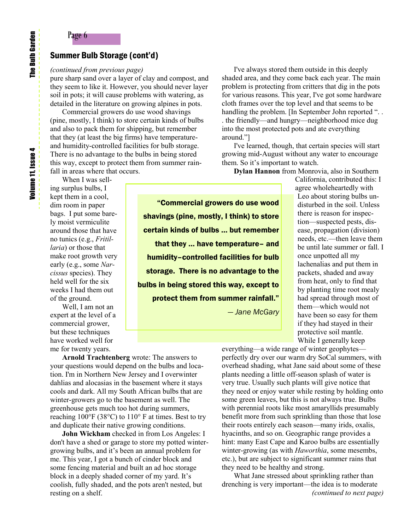#### Summer Bulb Storage (cont'd)

#### *(continued from previous page)*

Page 6

pure sharp sand over a layer of clay and compost, and they seem to like it. However, you should never layer soil in pots; it will cause problems with watering, as detailed in the literature on growing alpines in pots.

Commercial growers do use wood shavings (pine, mostly, I think) to store certain kinds of bulbs and also to pack them for shipping, but remember that they (at least the big firms) have temperatureand humidity-controlled facilities for bulb storage. There is no advantage to the bulbs in being stored this way, except to protect them from summer rainfall in areas where that occurs.

When I was selling surplus bulbs, I kept them in a cool, dim room in paper bags. I put some barely moist vermiculite around those that have no tunics (e.g., *Fritillaria*) or those that make root growth very early (e.g., some *Narcissus* species). They held well for the six weeks I had them out of the ground.

Well, I am not an expert at the level of a commercial grower, but these techniques have worked well for me for twenty years.

"Commercial growers do use wood shavings (pine, mostly, I think) to store certain kinds of bulbs … but remember that they … have temperature– and humidity–controlled facilities for bulb storage. There is no advantage to the bulbs in being stored this way, except to protect them from summer rainfall." *— Jane McGary* 

I've always stored them outside in this deeply shaded area, and they come back each year. The main problem is protecting from critters that dig in the pots for various reasons. This year, I've got some hardware cloth frames over the top level and that seems to be handling the problem. [In September John reported "... . the friendly—and hungry—neighborhood mice dug into the most protected pots and ate everything around."]

I've learned, though, that certain species will start growing mid-August without any water to encourage them. So it's important to watch.

**Dylan Hannon** from Monrovia, also in Southern California, contributed this: I

> agree wholeheartedly with Leo about storing bulbs undisturbed in the soil. Unless there is reason for inspection—suspected pests, disease, propagation (division) needs, etc.—then leave them be until late summer or fall. I once unpotted all my lachenalias and put them in packets, shaded and away from heat, only to find that by planting time root mealy had spread through most of them—which would not have been so easy for them if they had stayed in their protective soil mantle. While I generally keep

**Arnold Trachtenberg** wrote: The answers to your questions would depend on the bulbs and location. I'm in Northern New Jersey and I overwinter dahlias and alocasias in the basement where it stays cools and dark. All my South African bulbs that are winter-growers go to the basement as well. The greenhouse gets much too hot during summers, reaching 100°F (38°C) to 110° F at times. Best to try and duplicate their native growing conditions.

**John Wickham** checked in from Los Angeles: I don't have a shed or garage to store my potted wintergrowing bulbs, and it's been an annual problem for me. This year, I got a bunch of cinder block and some fencing material and built an ad hoc storage block in a deeply shaded corner of my yard. It's coolish, fully shaded, and the pots aren't nested, but resting on a shelf.

everything—a wide range of winter geophytes perfectly dry over our warm dry SoCal summers, with overhead shading, what Jane said about some of these plants needing a little off-season splash of water is very true. Usually such plants will give notice that they need or enjoy water while resting by holding onto some green leaves, but this is not always true. Bulbs with perennial roots like most amaryllids presumably benefit more from such sprinkling than those that lose their roots entirely each season—many irids, oxalis, hyacinths, and so on. Geographic range provides a hint: many East Cape and Karoo bulbs are essentially winter-growing (as with *Haworthia*, some mesembs, etc.), but are subject to significant summer rains that they need to be healthy and strong.

What Jane stressed about sprinkling rather than drenching is very important—the idea is to moderate *(continued to next page)*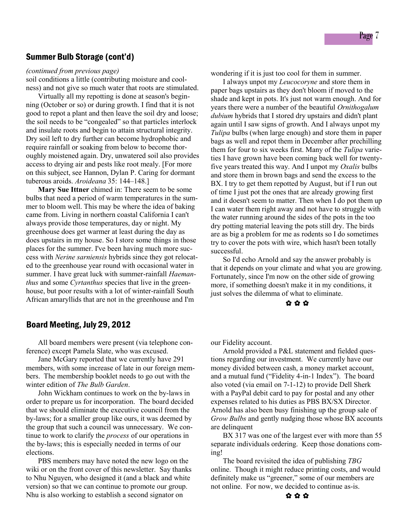#### Summer Bulb Storage (cont'd)

*(continued from previous page)*

soil conditions a little (contributing moisture and coolness) and not give so much water that roots are stimulated.

Virtually all my repotting is done at season's beginning (October or so) or during growth. I find that it is not good to repot a plant and then leave the soil dry and loose; the soil needs to be "congealed" so that particles interlock and insulate roots and begin to attain structural integrity. Dry soil left to dry further can become hydrophobic and require rainfall or soaking from below to become thoroughly moistened again. Dry, unwatered soil also provides access to drying air and pests like root mealy. [For more on this subject, see Hannon, Dylan P. Caring for dormant tuberous aroids. *Aroideana* 35: 144–148.]

**Mary Sue Ittner** chimed in: There seem to be some bulbs that need a period of warm temperatures in the summer to bloom well. This may be where the idea of baking came from. Living in northern coastal California I can't always provide those temperatures, day or night. My greenhouse does get warmer at least during the day as does upstairs in my house. So I store some things in those places for the summer. I've been having much more success with *Nerine sarniensis* hybrids since they got relocated to the greenhouse year round with occasional water in summer. I have great luck with summer-rainfall *Haemanthus* and some *Cyrtanthus* species that live in the greenhouse, but poor results with a lot of winter-rainfall South African amaryllids that are not in the greenhouse and I'm

wondering if it is just too cool for them in summer.

I always unpot my *Leucocoryne* and store them in paper bags upstairs as they don't bloom if moved to the shade and kept in pots. It's just not warm enough. And for years there were a number of the beautiful *Ornithogalum dubium* hybrids that I stored dry upstairs and didn't plant again until I saw signs of growth. And I always unpot my *Tulipa* bulbs (when large enough) and store them in paper bags as well and repot them in December after prechilling them for four to six weeks first. Many of the *Tulipa* varieties I have grown have been coming back well for twentyfive years treated this way. And I unpot my *Oxalis* bulbs and store them in brown bags and send the excess to the BX. I try to get them repotted by August, but if I run out of time I just pot the ones that are already growing first and it doesn't seem to matter. Then when I do pot them up I can water them right away and not have to struggle with the water running around the sides of the pots in the too dry potting material leaving the pots still dry. The birds are as big a problem for me as rodents so I do sometimes try to cover the pots with wire, which hasn't been totally successful.

So I'd echo Arnold and say the answer probably is that it depends on your climate and what you are growing. Fortunately, since I'm now on the other side of growing more, if something doesn't make it in my conditions, it just solves the dilemma of what to eliminate.

✿ ✿ ✿

#### Board Meeting, July 29, 2012

All board members were present (via telephone conference) except Pamela Slate, who was excused.

Jane McGary reported that we currently have 291 members, with some increase of late in our foreign members. The membership booklet needs to go out with the winter edition of *The Bulb Garden*.

John Wickham continues to work on the by-laws in order to prepare us for incorporation. The board decided that we should eliminate the executive council from the by-laws; for a smaller group like ours, it was deemed by the group that such a council was unnecessary. We continue to work to clarify the *process* of our operations in the by-laws; this is especially needed in terms of our elections.

PBS members may have noted the new logo on the wiki or on the front cover of this newsletter. Say thanks to Nhu Nguyen, who designed it (and a black and white version) so that we can continue to promote our group. Nhu is also working to establish a second signator on

our Fidelity account.

Arnold provided a P&L statement and fielded questions regarding our investment. We currently have our money divided between cash, a money market account, and a mutual fund ("Fidelity 4-in-1 Index"). The board also voted (via email on 7-1-12) to provide Dell Sherk with a PayPal debit card to pay for postal and any other expenses related to his duties as PBS BX/SX Director. Arnold has also been busy finishing up the group sale of *Grow Bulbs* and gently nudging those whose BX accounts are delinquent

BX 317 was one of the largest ever with more than 55 separate individuals ordering. Keep those donations coming!

The board revisited the idea of publishing *TBG* online. Though it might reduce printing costs, and would definitely make us "greener," some of our members are not online. For now, we decided to continue as-is.

✿ ✿ ✿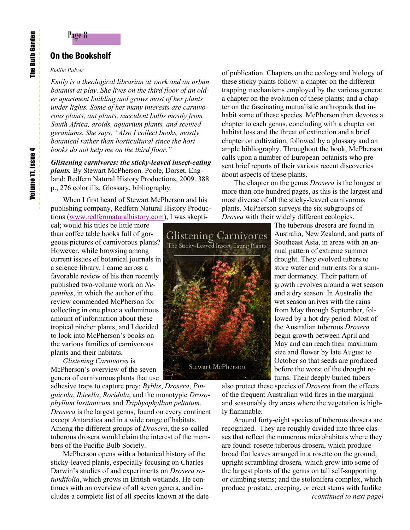#### On the Bookshelf

#### *Emilie Pulver*

*Emily is a theological librarian at work and an urban botanist at play. She lives on the third floor of an older apartment building and grows most of her plants under lights. Some of her many interests are carnivorous plants, ant plants, succulent bulbs mostly from South Africa, aroids, aquarium plants, and scented geraniums. She says, "Also I collect books, mostly botanical rather than horticultural since the hort books do not help me on the third floor."* 

*Glistening carnivores: the sticky-leaved insect-eating plants.* By Stewart McPherson. Poole, Dorset, England: Redfern Natural History Productions, 2009. 388 p., 276 color ills. Glossary, bibliography.

When I first heard of Stewart McPherson and his publishing company, Redfern Natural History Productions ([www.redfernnaturalhistory.com\)](http://www.redfernnaturalhistory.com), I was skepti-

cal; would his titles be little more than coffee table books full of gorgeous pictures of carnivorous plants? However, while browsing among current issues of botanical journals in a science library, I came across a favorable review of his then recently published two-volume work on *Nepenthes*, in which the author of the review commended McPherson for collecting in one place a voluminous amount of information about these tropical pitcher plants, and I decided to look into McPherson's books on the various families of carnivorous plants and their habitats.

*Glistening Carnivores* is McPherson's overview of the seven genera of carnivorous plants that use

adhesive traps to capture prey: *Byblis*, *Drosera*, *Pinguicula*, *Ibicella*, *Roridula*, and the monotypic *Drosophyllum lusitanicum* and *Triphyophyllum peltatum*. *Drosera* is the largest genus, found on every continent except Antarctica and in a wide range of habitats. Among the different groups of *Drosera*, the so-called tuberous drosera would claim the interest of the members of the Pacific Bulb Society.

McPherson opens with a botanical history of the sticky-leaved plants, especially focusing on Charles Darwin's studies of and experiments on *Drosera rotundifolia*, which grows in British wetlands. He continues with an overview of all seven genera, and includes a complete list of all species known at the date of publication. Chapters on the ecology and biology of these sticky plants follow: a chapter on the different trapping mechanisms employed by the various genera; a chapter on the evolution of these plants; and a chapter on the fascinating mutualistic anthropods that inhabit some of these species. McPherson then devotes a chapter to each genus, concluding with a chapter on habitat loss and the threat of extinction and a brief chapter on cultivation, followed by a glossary and an ample bibliography. Throughout the book, McPherson calls upon a number of European botanists who present brief reports of their various recent discoveries about aspects of these plants.

The chapter on the genus *Drosera* is the longest at more than one hundred pages, as this is the largest and most diverse of all the sticky-leaved carnivorous plants. McPherson surveys the six subgroups of *Drosea* with their widely different ecologies.



The tuberous drosera are found in Australia, New Zealand, and parts of Southeast Asia, in areas with an annual pattern of extreme summer drought. They evolved tubers to store water and nutrients for a summer dormancy. Their pattern of growth revolves around a wet season and a dry season. In Australia the wet season arrives with the rains from May through September, followed by a hot dry period. Most of the Australian tuberous *Drosera* begin growth between April and May and can reach their maximum size and flower by late August to October so that seeds are produced before the worst of the drought returns. Their deeply buried tubers

also protect these species of *Drosera* from the effects of the frequent Australian wild fires in the marginal and seasonably dry areas where the vegetation is highly flammable.

Around forty-eight species of tuberous drosera are recognized. They are roughly divided into three classes that reflect the numerous microhabitats where they are found: rosette tuberous drosera, which produce broad flat leaves arranged in a rosette on the ground; upright scrambling drosera*,* which grow into some of the largest plants of the genus on tall self-supporting or climbing stems; and the stolonifera complex, which produce prostate, creeping, or erect stems with fanlike *(continued to next page)*

The Bulb Garden

**The Bulb Garden**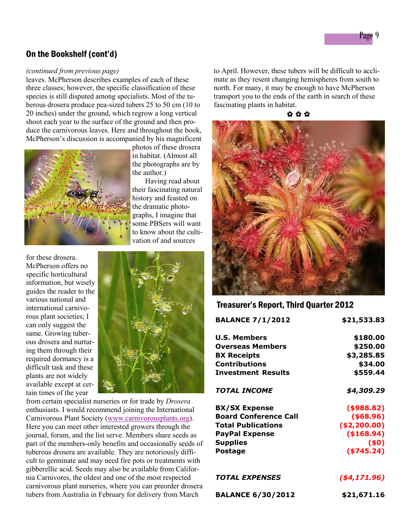#### On the Bookshelf (cont'd)

#### *(continued from previous page)*

leaves. McPherson describes examples of each of these three classes; however, the specific classification of these species is still disputed among specialists. Most of the tuberous drosera produce pea-sized tubers 25 to 50 cm (10 to 20 inches) under the ground, which regrow a long vertical shoot each year to the surface of the ground and then produce the carnivorous leaves. Here and throughout the book, McPherson's discussion is accompanied by his magnificent



photos of these drosera in habitat. (Almost all the photographs are by the author.)

 Having read about their fascinating natural history and feasted on the dramatic photographs, I imagine that some PBSers will want to know about the cultivation of and sources

for these drosera. McPherson offers no specific horticultural information, but wisely guides the reader to the various national and international carnivorous plant societies; I can only suggest the same. Growing tuberous drosera and nurturing them through their required dormancy is a difficult task and these plants are not widely available except at certain times of the year



from certain specialist nurseries or for trade by *Drosera* enthusiasts. I would recommend joining the International Carnivorous Plant Society ([www.carnivorousplants.org\).](http://www.carnivorousplants.org) Here you can meet other interested growers through the journal, forum, and the list serve. Members share seeds as part of the members-only benefits and occasionally seeds of tuberous drosera are available. They are notoriously difficult to germinate and may need fire pots or treatments with gibberellic acid. Seeds may also be available from California Carnivores, the oldest and one of the most respected carnivorous plant nurseries, where you can preorder drosera tubers from Australia in February for delivery from March

to April. However, these tubers will be difficult to acclimate as they resent changing hemispheres from south to north. For many, it may be enough to have McPherson transport you to the ends of the earth in search of these fascinating plants in habitat.





#### Treasurer's Report, Third Quarter 2012

| <b>BALANCE 7/1/2012</b>      | \$21,533.83    |
|------------------------------|----------------|
| <b>U.S. Members</b>          | \$180.00       |
| <b>Overseas Members</b>      | \$250.00       |
| <b>BX Receipts</b>           | \$3,285.85     |
| Contributions                | \$34.00        |
| <b>Investment Results</b>    | \$559.44       |
| TOTAL INCOME                 | \$4,309.29     |
| <b>BX/SX Expense</b>         | ( \$988.82)    |
| <b>Board Conference Call</b> | ( \$68.96)     |
| <b>Total Publications</b>    | ( \$2, 200.00) |
| <b>PayPal Expense</b>        | (\$168.94)     |
| <b>Supplies</b>              | (50)           |
| Postage                      | ( \$745.24)    |
|                              |                |

| <b>BALANCE 6/30/2012</b> | \$21,671.16 |
|--------------------------|-------------|
|--------------------------|-------------|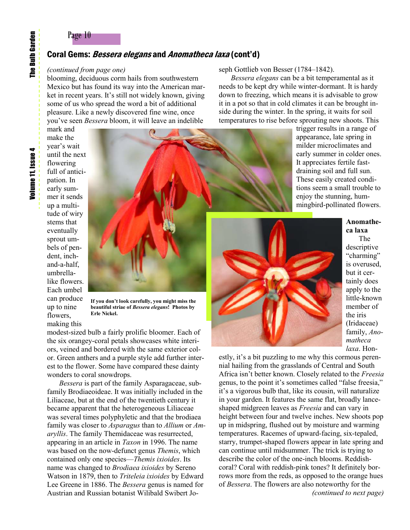#### Page 10

#### Coral Gems: *Bessera elegans* and *Anomatheca laxa* (cont'd)

#### *(continued from page one)*

blooming, deciduous corm hails from southwestern Mexico but has found its way into the American market in recent years. It's still not widely known, giving some of us who spread the word a bit of additional pleasure. Like a newly discovered fine wine, once you've seen *Bessera* bloom, it will leave an indelible

mark and make the year's wait until the next flowering full of anticipation. In early summer it sends up a multitude of wiry stems that eventually sprout umbels of pendent, inchand-a-half, umbrellalike flowers. Each umbel can produce up to nine flowers, making this



**If you don't look carefully, you might miss the beautiful striae of** *Bessera elegans***! Photos by Erle Nickel.**

modest-sized bulb a fairly prolific bloomer. Each of the six orangey-coral petals showcases white interiors, veined and bordered with the same exterior color. Green anthers and a purple style add further interest to the flower. Some have compared these dainty wonders to coral snowdrops.

*Bessera* is part of the family Asparagaceae, subfamily Brodiaeoideae. It was initially included in the Liliaceae, but at the end of the twentieth century it became apparent that the heterogeneous Liliaceae was several times polyphyletic and that the brodiaea family was closer to *Asparagus* than to *Allium* or *Amaryllis*. The family Themidaceae was resurrected, appearing in an article in *Taxon* in 1996. The name was based on the now-defunct genus *Themis*, which contained only one species—*Themis ixioides*. Its name was changed to *Brodiaea ixioides* by Sereno Watson in 1879, then to *Triteleia ixioides* by Edward Lee Greene in 1886. The *Bessera* genus is named for Austrian and Russian botanist Wilibald Swibert Joseph Gottlieb von Besser (1784–1842).

*Bessera elegans* can be a bit temperamental as it needs to be kept dry while winter-dormant. It is hardy down to freezing, which means it is advisable to grow it in a pot so that in cold climates it can be brought inside during the winter. In the spring, it waits for soil temperatures to rise before sprouting new shoots. This

> trigger results in a range of appearance, late spring in milder microclimates and early summer in colder ones. It appreciates fertile fastdraining soil and full sun. These easily created conditions seem a small trouble to enjoy the stunning, hummingbird-pollinated flowers.



**Anomatheca laxa** The descriptive "charming" is overused, but it certainly does apply to the little-known member of the iris (Iridaceae) family, *Anomatheca laxa*. Hon-

estly, it's a bit puzzling to me why this cormous perennial hailing from the grasslands of Central and South Africa isn't better known. Closely related to the *Freesia* genus, to the point it's sometimes called "false freesia," it's a vigorous bulb that, like its cousin, will naturalize in your garden. It features the same flat, broadly lanceshaped midgreen leaves as *Freesia* and can vary in height between four and twelve inches. New shoots pop up in midspring, flushed out by moisture and warming temperatures. Racemes of upward-facing, six-tepaled, starry, trumpet-shaped flowers appear in late spring and can continue until midsummer. The trick is trying to describe the color of the one-inch blooms. Reddishcoral? Coral with reddish-pink tones? It definitely borrows more from the reds, as opposed to the orange hues of *Bessera*. The flowers are also noteworthy for the *(continued to next page)*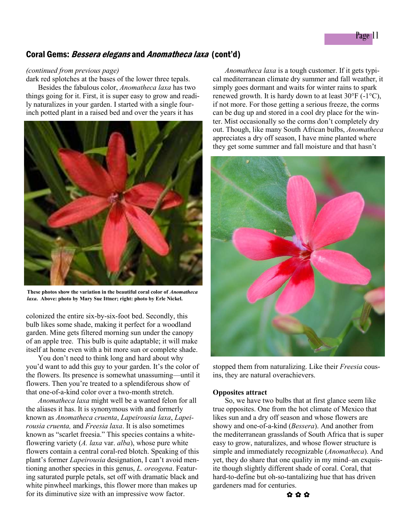#### Coral Gems: *Bessera elegans* and *Anomatheca laxa* (cont'd)

#### *(continued from previous page)*

dark red splotches at the bases of the lower three tepals.

Besides the fabulous color, *Anomatheca laxa* has two things going for it. First, it is super easy to grow and readily naturalizes in your garden. I started with a single fourinch potted plant in a raised bed and over the years it has



**These photos show the variation in the beautiful coral color of** *Anomatheca laxa***. Above: photo by Mary Sue Ittner; right: photo by Erle Nickel.** 

colonized the entire six-by-six-foot bed. Secondly, this bulb likes some shade, making it perfect for a woodland garden. Mine gets filtered morning sun under the canopy of an apple tree. This bulb is quite adaptable; it will make itself at home even with a bit more sun or complete shade.

You don't need to think long and hard about why you'd want to add this guy to your garden. It's the color of the flowers. Its presence is somewhat unassuming—until it flowers. Then you're treated to a splendiferous show of that one-of-a-kind color over a two-month stretch.

*Anomatheca laxa* might well be a wanted felon for all the aliases it has. It is synonymous with and formerly known as *Anomatheca cruenta*, *Lapeirousia laxa*, *Lapeirousia cruenta,* and *Freesia laxa*. It is also sometimes known as "scarlet freesia." This species contains a whiteflowering variety (*A. laxa* var. *alba*), whose pure white flowers contain a central coral-red blotch. Speaking of this plant's former *Lapeirousia* designation, I can't avoid mentioning another species in this genus, *L. oreogena*. Featuring saturated purple petals, set off with dramatic black and white pinwheel markings, this flower more than makes up for its diminutive size with an impressive wow factor.

*Anomatheca laxa* is a tough customer. If it gets typical mediterranean climate dry summer and fall weather, it simply goes dormant and waits for winter rains to spark renewed growth. It is hardy down to at least  $30^{\circ}$ F (-1 $^{\circ}$ C), if not more. For those getting a serious freeze, the corms can be dug up and stored in a cool dry place for the winter. Mist occasionally so the corms don't completely dry out. Though, like many South African bulbs, *Anomatheca* appreciates a dry off season, I have mine planted where they get some summer and fall moisture and that hasn't



stopped them from naturalizing. Like their *Freesia* cousins, they are natural overachievers.

#### **Opposites attract**

So, we have two bulbs that at first glance seem like true opposites. One from the hot climate of Mexico that likes sun and a dry off season and whose flowers are showy and one-of-a-kind (*Bessera*). And another from the mediterranean grasslands of South Africa that is super easy to grow, naturalizes, and whose flower structure is simple and immediately recognizable (*Anomatheca*). And yet, they do share that one quality in my mind–an exquisite though slightly different shade of coral. Coral, that hard-to-define but oh-so-tantalizing hue that has driven gardeners mad for centuries.